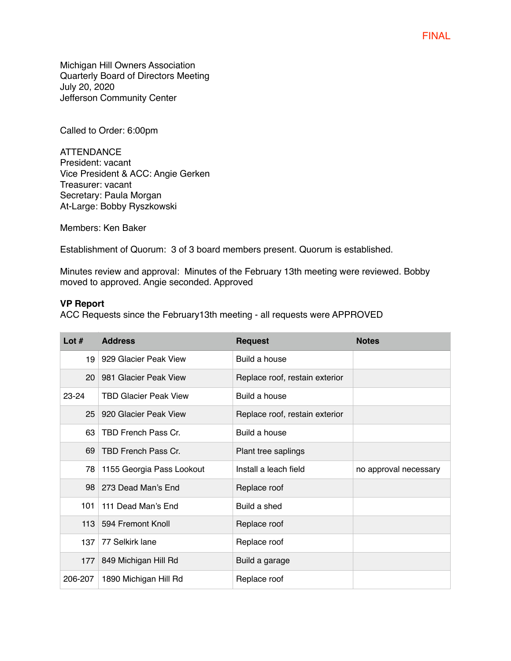FINAL

Michigan Hill Owners Association Quarterly Board of Directors Meeting July 20, 2020 Jefferson Community Center

Called to Order: 6:00pm

ATTENDANCE President: vacant Vice President & ACC: Angie Gerken Treasurer: vacant Secretary: Paula Morgan At-Large: Bobby Ryszkowski

Members: Ken Baker

Establishment of Quorum: 3 of 3 board members present. Quorum is established.

Minutes review and approval: Minutes of the February 13th meeting were reviewed. Bobby moved to approved. Angie seconded. Approved

#### **VP Report**

ACC Requests since the February13th meeting - all requests were APPROVED

| Lot $#$         | <b>Address</b>               | <b>Request</b>                 | <b>Notes</b>          |
|-----------------|------------------------------|--------------------------------|-----------------------|
| 19              | 929 Glacier Peak View        | Build a house                  |                       |
| 20              | 981 Glacier Peak View        | Replace roof, restain exterior |                       |
| 23-24           | <b>TBD Glacier Peak View</b> | Build a house                  |                       |
| 25 <sub>2</sub> | 920 Glacier Peak View        | Replace roof, restain exterior |                       |
| 63              | TBD French Pass Cr.          | Build a house                  |                       |
| 69              | TBD French Pass Cr.          | Plant tree saplings            |                       |
| 78              | 1155 Georgia Pass Lookout    | Install a leach field          | no approval necessary |
|                 | 98 273 Dead Man's End        | Replace roof                   |                       |
| 101             | 111 Dead Man's End           | Build a shed                   |                       |
| 113             | 594 Fremont Knoll            | Replace roof                   |                       |
| 137             | 77 Selkirk lane              | Replace roof                   |                       |
| 177             | 849 Michigan Hill Rd         | Build a garage                 |                       |
| 206-207         | 1890 Michigan Hill Rd        | Replace roof                   |                       |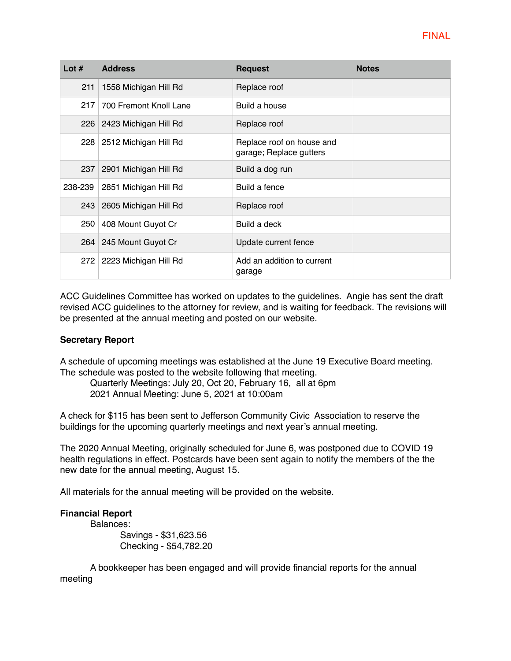| Lot $#$ | <b>Address</b>              | <b>Request</b>                                       | <b>Notes</b> |
|---------|-----------------------------|------------------------------------------------------|--------------|
| 211     | 1558 Michigan Hill Rd       | Replace roof                                         |              |
| 217     | 700 Fremont Knoll Lane      | Build a house                                        |              |
|         | 226 2423 Michigan Hill Rd   | Replace roof                                         |              |
|         | 228   2512 Michigan Hill Rd | Replace roof on house and<br>garage; Replace gutters |              |
|         | 237 2901 Michigan Hill Rd   | Build a dog run                                      |              |
| 238-239 | 2851 Michigan Hill Rd       | Build a fence                                        |              |
|         | 243 2605 Michigan Hill Rd   | Replace roof                                         |              |
|         | 250   408 Mount Guyot Cr    | Build a deck                                         |              |
|         | 264 245 Mount Guyot Cr      | Update current fence                                 |              |
|         | 272   2223 Michigan Hill Rd | Add an addition to current<br>garage                 |              |

ACC Guidelines Committee has worked on updates to the guidelines. Angie has sent the draft revised ACC guidelines to the attorney for review, and is waiting for feedback. The revisions will be presented at the annual meeting and posted on our website.

# **Secretary Report**

A schedule of upcoming meetings was established at the June 19 Executive Board meeting. The schedule was posted to the website following that meeting.

Quarterly Meetings: July 20, Oct 20, February 16, all at 6pm 2021 Annual Meeting: June 5, 2021 at 10:00am

A check for \$115 has been sent to Jefferson Community Civic Association to reserve the buildings for the upcoming quarterly meetings and next year's annual meeting.

The 2020 Annual Meeting, originally scheduled for June 6, was postponed due to COVID 19 health regulations in effect. Postcards have been sent again to notify the members of the the new date for the annual meeting, August 15.

All materials for the annual meeting will be provided on the website.

# **Financial Report**

Balances:

Savings - \$31,623.56 Checking - \$54,782.20

A bookkeeper has been engaged and will provide financial reports for the annual meeting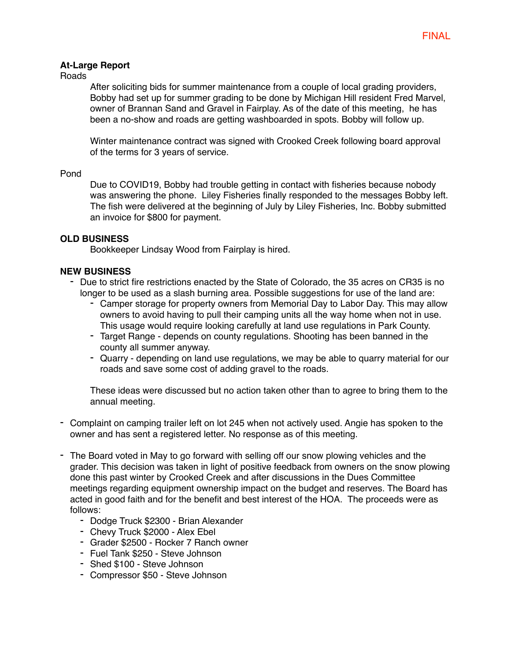## **At-Large Report**

Roads

After soliciting bids for summer maintenance from a couple of local grading providers, Bobby had set up for summer grading to be done by Michigan Hill resident Fred Marvel, owner of Brannan Sand and Gravel in Fairplay. As of the date of this meeting, he has been a no-show and roads are getting washboarded in spots. Bobby will follow up.

Winter maintenance contract was signed with Crooked Creek following board approval of the terms for 3 years of service.

#### Pond

Due to COVID19, Bobby had trouble getting in contact with fisheries because nobody was answering the phone. Liley Fisheries finally responded to the messages Bobby left. The fish were delivered at the beginning of July by Liley Fisheries, Inc. Bobby submitted an invoice for \$800 for payment.

## **OLD BUSINESS**

Bookkeeper Lindsay Wood from Fairplay is hired.

### **NEW BUSINESS**

- Due to strict fire restrictions enacted by the State of Colorado, the 35 acres on CR35 is no longer to be used as a slash burning area. Possible suggestions for use of the land are:
	- Camper storage for property owners from Memorial Day to Labor Day. This may allow owners to avoid having to pull their camping units all the way home when not in use. This usage would require looking carefully at land use regulations in Park County.
	- Target Range depends on county regulations. Shooting has been banned in the county all summer anyway.
	- Quarry depending on land use regulations, we may be able to quarry material for our roads and save some cost of adding gravel to the roads.

These ideas were discussed but no action taken other than to agree to bring them to the annual meeting.

- Complaint on camping trailer left on lot 245 when not actively used. Angie has spoken to the owner and has sent a registered letter. No response as of this meeting.
- The Board voted in May to go forward with selling off our snow plowing vehicles and the grader. This decision was taken in light of positive feedback from owners on the snow plowing done this past winter by Crooked Creek and after discussions in the Dues Committee meetings regarding equipment ownership impact on the budget and reserves. The Board has acted in good faith and for the benefit and best interest of the HOA. The proceeds were as follows:
	- Dodge Truck \$2300 Brian Alexander
	- Chevy Truck \$2000 Alex Ebel
	- Grader \$2500 Rocker 7 Ranch owner
	- Fuel Tank \$250 Steve Johnson
	- Shed \$100 Steve Johnson
	- Compressor \$50 Steve Johnson